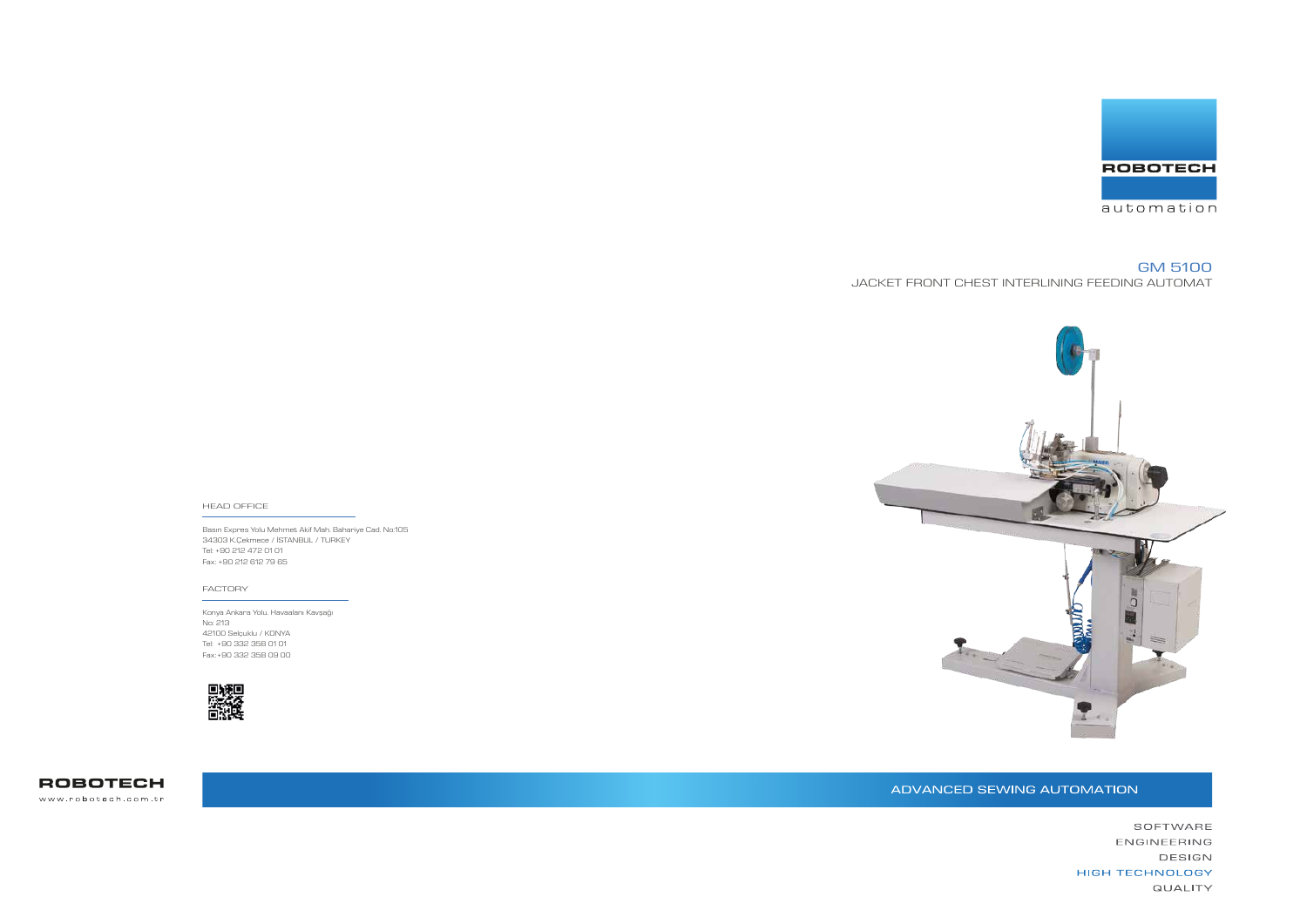Basın Expres Yolu Mehmet Akif Mah. Bahariye Cad. No:105 34303 K.Çekmece / İSTANBUL / TURKEY Tel: +90 212 472 01 01 Fax: +90 212 612 79 65

#### HEAD OFFICE

Konya Ankara Yolu. Havaalanı Kavşağı No: 213 42100 Selçuklu / KONYA Tel: +90 332 358 01 01 Fax: +90 332 358 09 00



**ROBOTECH** www.robotech.com.tr







#### FACTORY

# GM 5100 JACKET FRONT CHEST INTERLINING FEEDING AUTOMAT

## ADVANCED SEWING AUTOMATION

SOFTWARE ENGINEERING DESIGN **HIGH TECHNOLOGY QUALITY**